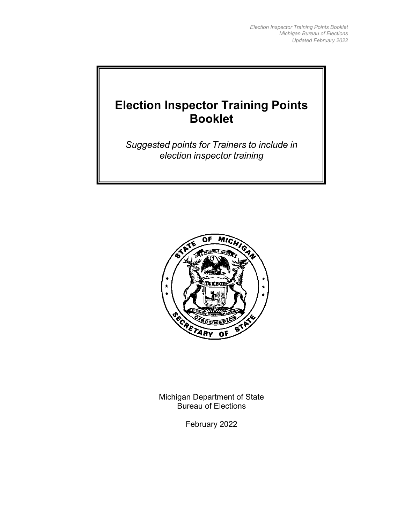# **Election Inspector Training Points Booklet**

*Suggested points for Trainers to include in election inspector training*



Michigan Department of State Bureau of Elections

February 2022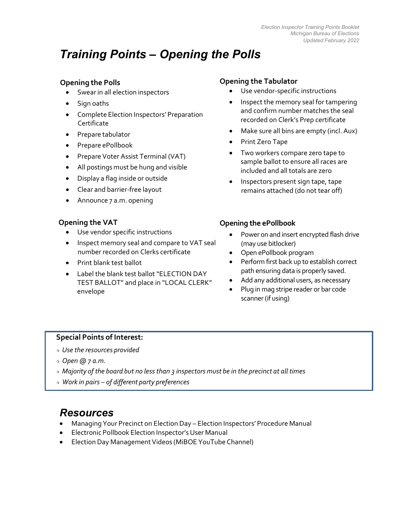# *Training Points – Opening the Polls*

# **Opening the Polls**

- Swear in all election inspectors
- Sign oaths
- Complete Election Inspectors' Preparation Certificate
- Prepare tabulator
- Prepare ePollbook
- Prepare Voter Assist Terminal (VAT)
- All postings must be hung and visible
- Display a flag inside or outside
- Clear and barrier-free layout
- Announce 7 a.m. opening

# **Opening the VAT**

- Use vendor specific instructions
- Inspect memory seal and compare to VAT seal number recorded on Clerks certificate
- Print blank test ballot
- Label the blank test ballot "ELECTION DAY TEST BALLOT" and place in "LOCAL CLERK" envelope

# **Opening the Tabulator**

- Use vendor-specific instructions
- Inspect the memory seal for tampering and confirm number matches the seal recorded on Clerk's Prep certificate
- Make sure all bins are empty (incl. Aux)
- Print Zero Tape
- Two workers compare zero tape to sample ballot to ensure all races are included and all totals are zero
- Inspectors present sign tape, tape remains attached (do not tear off)

# **Opening the ePollbook**

- Power on and insert encrypted flash drive (may use bitlocker)
- Open ePollbook program
- Perform first back up to establish correct path ensuring data is properly saved.
- Add any additional users, as necessary
- Plug in mag stripe reader or bar code scanner (if using)

# **Special Points of Interest:**

- *Use the resources provided*
- *Open @ 7 a.m.*
- *Majority of the board but no lessthan 3 inspectors must be in the precinct at all times*
- *Work in pairs – of different party preferences*

- Managing Your Precinct on Election Day Election Inspectors' Procedure Manual
- Electronic Pollbook Election Inspector's User Manual
- Election Day Management Videos (MiBOE YouTube Channel)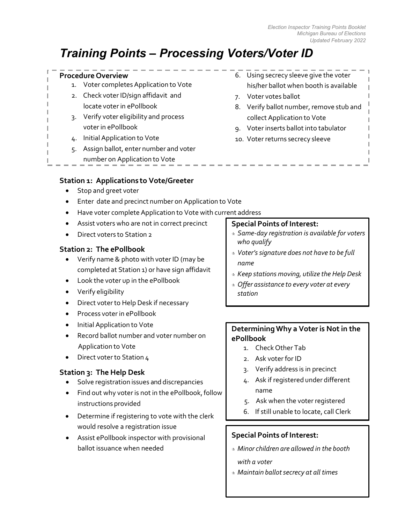# *Training Points – Processing Voters/Voter ID*

# **Procedure Overview**

- 1. Voter completes Application to Vote
- 2. Check voter ID/sign affidavit and locate voter in ePollbook
- 3. Verify voter eligibility and process voter in ePollbook
- 4. Initial Application to Vote
- 5. Assign ballot, enter number and voter
	- number on Application to Vote

# **Station 1: Applications to Vote/Greeter**

- Stop and greet voter
- Enter date and precinct number on Application to Vote
- Have voter complete Application to Vote with current address
- Assist voters who are not in correct precinct
- Direct voters to Station 2

# **Station 2: The ePollbook**

- Verify name& photo with voter ID (may be completed at Station 1) or have sign affidavit
- Look the voter up in the ePollbook
- Verify eligibility
- Direct voterto Help Desk if necessary
- Process voter in ePollbook
- Initial Application to Vote
- Record ballot number and voter number on Application to Vote
- Direct voter to Station 4

# **Station 3: The Help Desk**

- Solve registration issues and discrepancies
- Find out why voter is not in the ePollbook, follow instructions provided
- Determine if registering to vote with the clerk would resolve a registration issue
- Assist ePollbook inspector with provisional ballot issuance when needed
- 6. Using secrecy sleeve give the voter his/her ballot when booth is available
- 7. Voter votes ballot
- 8. Verify ballot number, remove stub and collect Application to Vote
- 9. Voter inserts ballot into tabulator
- 10. Voter returns secrecy sleeve

# **Special Points of Interest:**

- *Same-day registration is available for voters who qualify*
- *Voter'ssignature does not have to be full name*
- *Keep stations moving, utilize the Help Desk*
- *Offer assistance to every voter at every station*

# **DeterminingWhy a Voter is Not in the ePollbook**

- 1. Check Other Tab
- 2. Ask voter for ID
- 3. Verify address is in precinct
- 4. Ask if registered under different name
- 5. Ask when the voter registered
- 6. If still unable to locate, call Clerk

# **Special Points of Interest:**

- *Minor children are allowed in the booth with a voter*
- *Maintain ballotsecrecy at all times*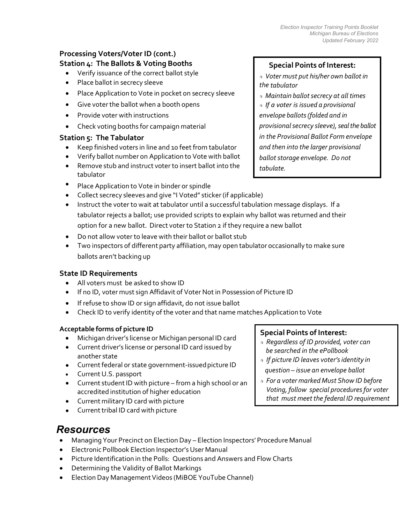# **Processing Voters/Voter ID (cont.) Station 4: The Ballots & Voting Booths**

- Verify issuance of the correct ballot style
- Place ballot in secrecy sleeve
- Place Application to Vote in pocket on secrecy sleeve
- Give voter the ballot when a booth opens
- Provide voter with instructions
- Check voting booths for campaign material

# **Station 5: The Tabulator**

- Keep finished voters in line and 10 feet from tabulator
- Verify ballot number on Application to Vote with ballot
- Remove stub and instruct voter to insert ballot into the tabulator
- Place Application to Vote in binder or spindle
- Collect secrecy sleeves and give "I Voted" sticker (if applicable)
- Instruct the voter to wait at tabulator until a successful tabulation message displays. If a tabulator rejects a ballot; use provided scripts to explain why ballot was returned and their option for a new ballot. Direct voter to Station 2 if they require a new ballot
- Do not allow voter to leave with their ballot or ballot stub
- Two inspectors of different party affiliation, may open tabulator occasionally to make sure ballots aren't backing up

#### **State ID Requirements**

- All voters must be asked to show ID
- If no ID, voter must sign Affidavit of Voter Not in Possession of Picture ID
- If refuse to show ID or sign affidavit, do not issue ballot
- Check ID to verify identity of the voter and that name matches Application to Vote

#### **Acceptable forms of picture ID**

- Michigan driver's license or Michigan personal ID card
- Current driver's license or personal ID card issued by another state
- Current federal or state government-issued picture ID
- Current U.S. passport
- Current student ID with picture from a high school or an accredited institution of higher education
- Current military ID card with picture
- Current tribal ID card with picture

# *Resources*

- Managing Your Precinct on Election Day Election Inspectors' Procedure Manual
- Electronic Pollbook Election Inspector's User Manual
- Picture Identification in the Polls: Questions and Answers and Flow Charts
- Determining the Validity of Ballot Markings
- Election Day Management Videos (MiBOE YouTube Channel)

# **Special Points of Interest:**

- *Voter must put his/her own ballotin the tabulator*
- *Maintain ballotsecrecy at all times If a voter is issued a provisional envelope ballots(folded and in provisionalsecrecy sleeve),seal the ballot in the Provisional Ballot Form envelope and then into the larger provisional*
- *ballotstorage envelope. Do not tabulate.*

# **Special Points of Interest:**

- *Regardless of ID provided, voter can be searched in the ePollbook*
- *If picture ID leaves voter'sidentity in question – issue an envelope ballot*
- *For a voter marked Must Show ID before Voting, follow special proceduresfor voter that must meet the federal ID requirement*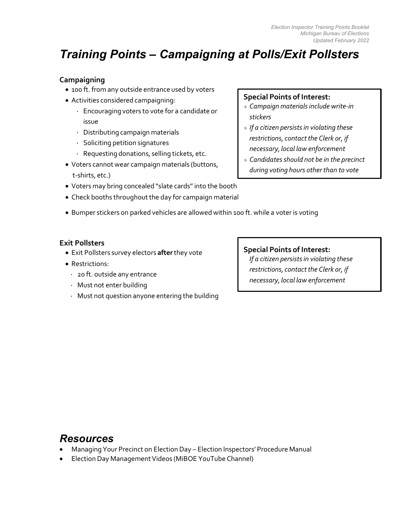# *Training Points – Campaigning at Polls/Exit Pollsters*

# **Campaigning**

- 100 ft. from any outside entrance used by voters
- Activities considered campaigning:
	- · Encouraging voters to vote for a candidate or issue
	- · Distributing campaign materials
	- · Soliciting petition signatures
	- · Requesting donations, selling tickets, etc.
- Voters cannot wear campaign materials (buttons, t-shirts, etc.)
- Voters may bring concealed "slate cards"into the booth
- Check booths throughout the day for campaign material
- Bumper stickers on parked vehicles are allowed within 100 ft. while a voter is voting

# **Exit Pollsters**

- Exit Pollsters survey electors **after**they vote
- Restrictions:
	- · 20 ft. outside any entrance
	- · Must not enter building
	- · Must not question anyone entering the building

# **Special Points of Interest:**

- *Campaign materialsinclude write-in stickers*
- *If a citizen persistsin violating these*   $r$ estrictions, contact the Clerk or, if *necessary, local law enforcement*
- *Candidatesshould not be in the precinct during voting hours other than to vote*

# **Special Points of Interest:**

*If a citizen persistsin violating these restrictions, contactthe Clerk or, if necessary, local law enforcement*

- Managing Your Precinct on Election Day Election Inspectors' Procedure Manual
- Election Day Management Videos (MiBOE YouTube Channel)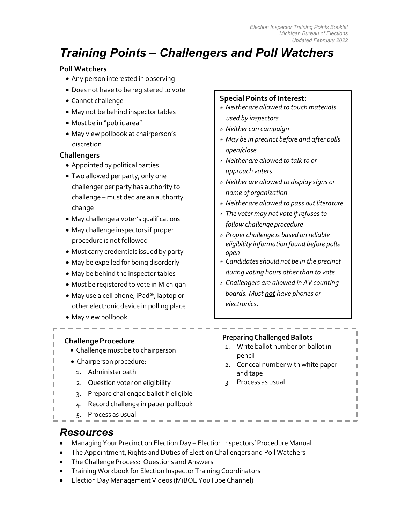# *Training Points – Challengers and Poll Watchers*

# **Poll Watchers**

- Any person interested in observing
- Does not have to be registered to vote
- Cannot challenge
- May not be behind inspectortables
- Must be in "public area"
- May view pollbook at chairperson's discretion

# **Challengers**

- Appointed by political parties
- Two allowed per party, only one challenger per party has authority to challenge – must declare an authority change
- May challenge a voter's qualifications
- May challenge inspectors if proper procedure is not followed
- Must carry credentials issued by party
- May be expelled for being disorderly
- May be behind the inspector tables
- Must be registered to vote in Michigan
- May use a cell phone, iPad®, laptop or other electronic device in polling place.
- May view pollbook

# **Challenge Procedure**

- Challenge must be to chairperson
- Chairperson procedure:
	- 1. Administer oath
	- 2. Question voter on eligibility
	- 3. Prepare challenged ballot if eligible
	- 4. Record challenge in paper pollbook
	- 5. Process as usual

# **Special Points of Interest:**

- *Neither are allowed to touch materials used by inspectors*
- *Neither can campaign*
- *May be in precinct before and after polls open/close*
- *Neither are allowed to talk to or approach voters*
- *Neither are allowed to display signs or name of organization*
- *Neither are allowed to pass out literature*
- *The voter may not vote if refusesto follow challenge procedure*
- *Proper challenge is based on reliable eligibility information found before polls open*
- *Candidatesshould not be in the precinct during voting hours other than to vote*
- *Challengers are allowed in AV counting boards. Must not have phones or electronics.*

#### **Preparing Challenged Ballots**

- 1. Write ballot number on ballot in pencil
- 2. Conceal number with white paper and tape
- 3. Process as usual

- *Resources*
- Managing Your Precinct on Election Day Election Inspectors' Procedure Manual
- The Appointment, Rights and Duties of Election Challengers and Poll Watchers
- The Challenge Process: Questions and Answers
- Training Workbook for Election Inspector Training Coordinators
- Election Day Management Videos (MiBOE YouTube Channel)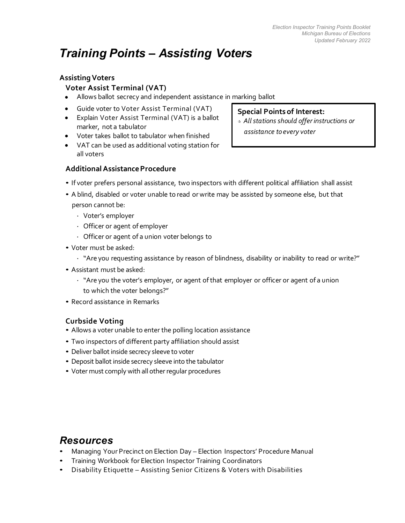# *Training Points – Assisting Voters*

# **AssistingVoters**

# **Voter Assist Terminal (VAT)**

- Allows ballot secrecy and independent assistance in marking ballot
- Guide voter to Voter Assist Terminal (VAT)
- Explain Voter Assist Terminal (VAT) is a ballot marker, not a tabulator
- Voter takes ballot to tabulator when finished
- VAT can be used as additional voting station for all voters

#### **Special Points of Interest:**

 *Allstations should offer instructions or assistance toevery voter*

# **AdditionalAssistanceProcedure**

- If voter prefers personal assistance, two inspectors with different political affiliation shall assist
- A blind, disabled or voter unable to read or write may be assisted by someone else, but that person cannot be:
	- · Voter's employer
	- · Officer or agent of employer
	- · Officer or agent of a union voter belongs to
- Voter must be asked:
	- · "Are you requesting assistance by reason of blindness, disability or inability to read or write?"
- Assistant must be asked:
	- · "Are you the voter's employer, or agent ofthat employer or officer or agent of a union to which the voter belongs?"
- Record assistance in Remarks

# **Curbside Voting**

- Allows a voter unable to enter the polling location assistance
- Two inspectors of different party affiliation should assist
- Deliver ballot inside secrecy sleeve to voter
- Deposit ballot inside secrecy sleeve into the tabulator
- Voter must comply with all other regular procedures

- *Resources* Managing Your Precinct on Election Day Election Inspectors' Procedure Manual
- Training Workbook for Election Inspector Training Coordinators
- Disability Etiquette Assisting Senior Citizens & Voters with Disabilities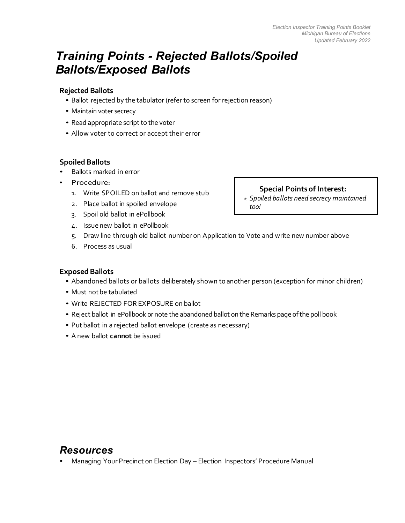# *Training Points - Rejected Ballots/Spoiled Ballots/Exposed Ballots*

### **Rejected Ballots**

- Ballot rejected by the tabulator (refer to screen for rejection reason)
- Maintain voter secrecy
- Read appropriate script to the voter
- Allow voter to correct or accept their error

# **Spoiled Ballots**

- Ballots marked in error
- Procedure:
	- 1. Write SPOILED on ballot and remove stub
	- 2. Place ballot in spoiled envelope
	- 3. Spoil old ballot in ePollbook
	- 4. Issue new ballot in ePollbook
	- 5. Draw line through old ballot number on Application to Vote and write new number above
	- 6. Process as usual

# **Exposed Ballots**

- Abandoned ballots or ballots deliberately shown to another person (exception for minor children)
- Must not be tabulated
- Write REJECTED FOR EXPOSURE on ballot
- Reject ballot in ePollbook or note the abandoned ballot on the Remarks page of the poll book
- Put ballot in a rejected ballot envelope (create as necessary)
- A new ballot **cannot** be issued

*Resources* • Managing Your Precinct on Election Day – Election Inspectors' Procedure Manual

### **Special Points of Interest:**

 *Spoiled ballots need secrecy maintained too!*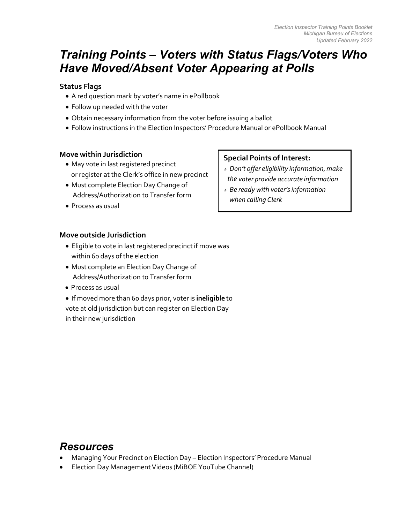# *Training Points – Voters with Status Flags/Voters Who Have Moved/Absent Voter Appearing at Polls*

# **Status Flags**

- A red question mark by voter's name in ePollbook
- Follow up needed with the voter
- Obtain necessary information from the voter before issuing a ballot
- Follow instructions in the Election Inspectors' Procedure Manual or ePollbook Manual

# **Move within Jurisdiction**

- May vote in last registered precinct or register at the Clerk's office in new precinct
- Must complete Election Day Change of Address/Authorization to Transfer form
- Process as usual

# **Special Points of Interest:**

- *Don't offer eligibility information,make the voter provide accurate information*
- *Be ready with voter'sinformation when calling Clerk*

# **Move outside Jurisdiction**

- Eligible to vote in last registered precinct if move was within 60 days of the election
- Must complete an Election Day Change of Address/Authorization to Transfer form
- Process as usual
- If moved more than 60 days prior, voter is **ineligible** to vote at old jurisdiction but can register on Election Day in their new jurisdiction

- Managing Your Precinct on Election Day Election Inspectors' Procedure Manual
- Election Day Management Videos (MiBOE YouTube Channel)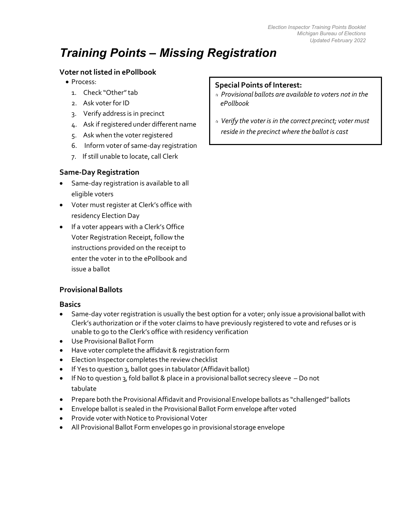# *Training Points – Missing Registration*

# **Voter not listed in ePollbook**

- Process:
	- 1. Check "Other"tab
	- 2. Ask voter for ID
	- 3. Verify address is in precinct
	- 4. Ask if registered under different name
	- 5. Ask when the voter registered
	- 6. Inform voter of same-day registration
	- 7. If still unable to locate, call Clerk

# **Same-Day Registration**

- Same-day registration is available to all eligible voters
- Voter must register at Clerk's office with residency Election Day
- If a voter appears with a Clerk's Office Voter Registration Receipt, follow the instructions provided on the receipt to enter the voter in to the ePollbook and issue a ballot

# **Provisional Ballots**

# **Basics**

- Same-day voter registration is usually the best option for a voter; only issue a provisional ballot with Clerk's authorization or if the voter claims to have previously registered to vote and refuses or is unable to go to the Clerk's office with residency verification
- Use Provisional Ballot Form
- Have voter complete the affidavit& registration form
- Election Inspector completes the review checklist
- If Yes to question 3, ballot goes in tabulator (Affidavit ballot)
- If No to question 3, fold ballot & place in a provisional ballot secrecy sleeve Do not tabulate
- Prepare both the ProvisionalAffidavit and Provisional Envelope ballots as "challenged" ballots
- Envelope ballot is sealed in the Provisional Ballot Form envelope after voted
- Provide voter with Notice to Provisional Voter
- All Provisional Ballot Form envelopes go in provisional storage envelope

### **Special Points of Interest:**

- *Provisional ballots are available to voters not in the ePollbook*
- *Verify the voter is in the correct precinct; voter must reside in the precinct where the ballotis cast*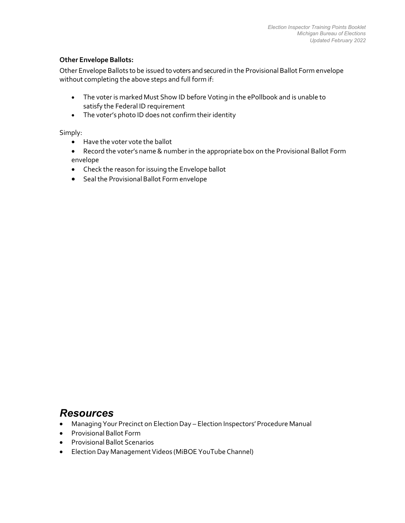#### **Other Envelope Ballots:**

Other Envelope Ballots to be issued to voters and secured in the Provisional Ballot Form envelope without completing the above steps and full form if:

- The voter is marked Must Show ID before Voting in the ePollbook and is unable to satisfy the Federal ID requirement
- The voter's photo ID does not confirm their identity

Simply:

- Have the voter vote the ballot
- Record the voter's name& numberin the appropriate box on the Provisional Ballot Form envelope
- Check the reason for issuing the Envelope ballot
- Sealthe ProvisionalBallot Form envelope

- Managing Your Precinct on Election Day Election Inspectors' Procedure Manual
- Provisional Ballot Form
- Provisional Ballot Scenarios
- Election Day Management Videos (MiBOE YouTube Channel)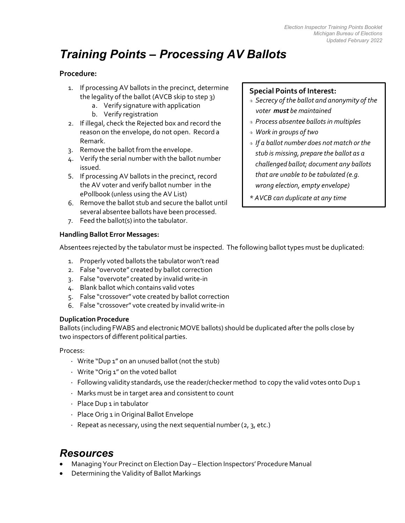# *Training Points – Processing AV Ballots*

# **Procedure:**

- 1. If processing AV ballots in the precinct, determine the legality of the ballot (AVCB skip to step 3)
	- a. Verify signature with application
	- b. Verify registration
- 2. If illegal, check the Rejected box and record the reason on the envelope, do not open. Record a Remark.
- 3. Remove the ballot from the envelope.
- 4. Verify the serial number with the ballot number issued.
- 5. If processing AV ballots in the precinct, record the AV voter and verify ballot number in the ePollbook (unless using the AV List)
- 6. Remove the ballot stub and secure the ballot until several absentee ballots have been processed.
- 7. Feed the ballot(s) into the tabulator.

# **Special Points of Interest:**

- *Secrecy of the ballot and anonymity of the voter must be maintained*
- *Process absentee ballotsin multiples*
- *Work in groups of two*
- *If a ballot number does not match or the stub is missing, prepare the ballot as a challenged ballot; document any ballots that are unable to be tabulated (e.g. wrong election, empty envelope)*
- *\* AVCB can duplicate at any time*

### **Handling Ballot Error Messages:**

Absentees rejected by the tabulator must be inspected. The following ballot types must be duplicated:

- 1. Properly voted ballots the tabulator won't read
- 2. False "overvote" created by ballot correction
- 3. False "overvote" created by invalid write-in
- 4. Blank ballot which contains valid votes
- 5. False "crossover" vote created by ballot correction
- 6. False "crossover" vote created by invalid write-in

#### **Duplication Procedure**

Ballots (including FWABS and electronic MOVE ballots) should be duplicated after the polls close by two inspectors of different political parties.

Process:

- · Write "Dup 1" on an unused ballot (not the stub)
- · Write "Orig 1" on the voted ballot
- $\cdot$  Following validity standards, use the reader/checker method to copy the valid votes onto Dup 1
- · Marks must be in target area and consistent to count
- · Place Dup 1 in tabulator
- · Place Orig 1 in Original Ballot Envelope
- $\cdot$  Repeat as necessary, using the next sequential number (2, 3, etc.)

- Managing Your Precinct on Election Day Election Inspectors' Procedure Manual
- Determining the Validity of Ballot Markings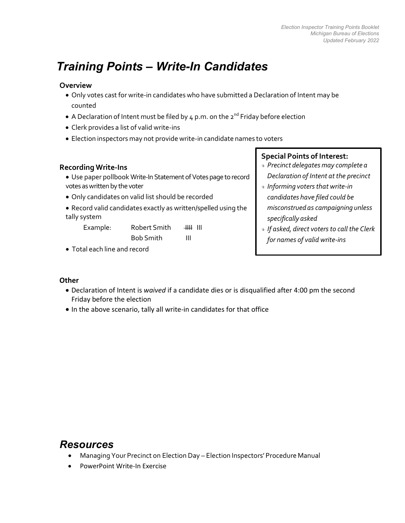# *Training Points – Write-In Candidates*

# **Overview**

- Only votes cast for write-in candidates who have submitted a Declaration of Intent may be counted
- A Declaration of Intent must be filed by  $4$  p.m. on the  $2^{nd}$  Friday before election
- Clerk provides a list of valid write-ins
- Election inspectors may not provide write-in candidate names to voters

# **Recording Write-Ins**

- Use paper pollbook Write-In Statement of Votespage to record votes as written by the voter
- Only candidates on valid list should be recorded
- Record valid candidates exactly as written/spelled using the tally system

Example: Robert Smith IIII III

Bob Smith III

• Total each line and record

# **Special Points of Interest:**

- *Precinct delegates may complete a Declaration of Intent at the precinct*
- *Informing votersthat write-in candidates have filed could be misconstrued as campaigning unless specifically asked*
- *If asked, direct votersto call the Clerk for names of valid write-ins*

# **Other**

- Declaration of Intent is *waived* if a candidate dies or is disqualified after 4:00 pm the second Friday before the election
- In the above scenario, tally all write‐in candidates for that office

- Managing Your Precinct on Election Day Election Inspectors' Procedure Manual
- PowerPoint Write-In Exercise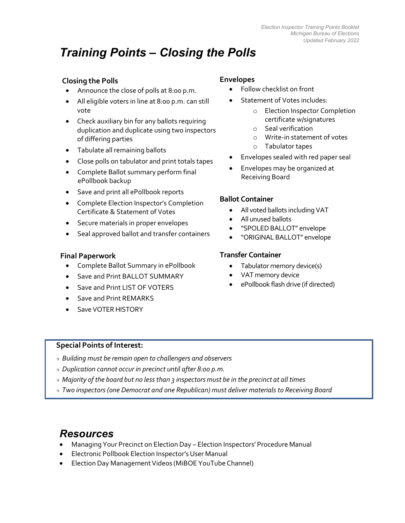# *Training Points – Closing the Polls*

# **Closing the Polls**

- Announce the close of polls at 8:00 p.m.
- All eligible voters in line at 8:00 p.m. can still vote
- Check auxiliary bin for any ballots requiring duplication and duplicate using two inspectors of differing parties
- Tabulate all remaining ballots
- Close polls on tabulator and print totals tapes
- Complete Ballot summary perform final ePollbook backup
- Save and print all ePollbook reports
- Complete Election Inspector's Completion Certificate & Statement of Votes
- Secure materials in proper envelopes
- Seal approved ballot and transfer containers

# **Final Paperwork**

- Complete Ballot Summary in ePollbook
- Save and Print BALLOT SUMMARY
- Save and Print LIST OF VOTERS
- Save and Print REMARKS
- Save VOTER HISTORY

# **Envelopes**

- Follow checklist on front
- Statement of Votes includes:
	- o Election Inspector Completion certificate w/signatures
	- o Seal verification
	- o Write-in statement of votes
	- o Tabulator tapes
- Envelopes sealed with red paper seal
- Envelopes may be organized at Receiving Board

# **Ballot Container**

- All voted ballots including VAT
- All unused ballots
- "SPOLED BALLOT" envelope
- "ORIGINAL BALLOT" envelope

# **Transfer Container**

- Tabulator memory device(s)
- VAT memory device
- ePollbook flash drive (if directed)

#### **Special Points of Interest:**

- *Building must be remain open to challengers and observers*
- *Duplication cannot occur in precinct until after 8:00 p.m.*
- *Majority of the board but no lessthan 3 inspectors must be in the precinct at all times*
- *Two inspectors (one Democrat and one Republican) must deliver materials to Receiving Board*

- Managing Your Precinct on Election Day Election Inspectors' Procedure Manual
- Electronic Pollbook Election Inspector's User Manual
- Election Day Management Videos (MiBOE YouTube Channel)